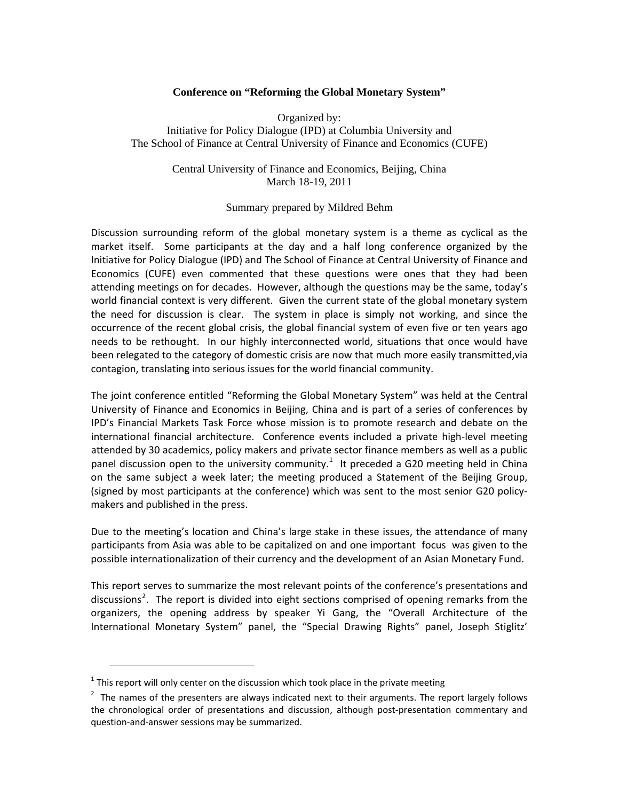#### **Conference on "Reforming the Global Monetary System"**

Organized by: Initiative for Policy Dialogue (IPD) at Columbia University and The School of Finance at Central University of Finance and Economics (CUFE)

> Central University of Finance and Economics, Beijing, China March 18-19, 2011

#### Summary prepared by Mildred Behm

Discussion surrounding reform of the global monetary system is a theme as cyclical as the market itself. Some participants at the day and a half long conference organized by the Initiative for Policy Dialogue (IPD) and The School of Finance at Central University of Finance and Economics (CUFE) even commented that these questions were ones that they had been attending meetings on for decades. However, although the questions may be the same, today's world financial context is very different. Given the current state of the global monetary system the need for discussion is clear. The system in place is simply not working, and since the occurrence of the recent global crisis, the global financial system of even five or ten years ago needs to be rethought. In our highly interconnected world, situations that once would have been relegated to the category of domestic crisis are now that much more easily transmitted,via contagion, translating into serious issues for the world financial community.

The joint conference entitled "Reforming the Global Monetary System" was held at the Central University of Finance and Economics in Beijing, China and is part of a series of conferences by IPD's Financial Markets Task Force whose mission is to promote research and debate on the international financial architecture. Conference events included a private high-level meeting attended by 30 academics, policy makers and private sector finance members as well as a public panel discussion open to the university community.<sup>[1](#page-0-0)</sup> It preceded a G20 meeting held in China on the same subject a week later; the meeting produced a Statement of the Beijing Group, (signed by most participants at the conference) which was sent to the most senior G20 policy‐ makers and published in the press.

Due to the meeting's location and China's large stake in these issues, the attendance of many participants from Asia was able to be capitalized on and one important focus was given to the possible internationalization of their currency and the development of an Asian Monetary Fund.

This report serves to summarize the most relevant points of the conference's presentations and discussions<sup>[2](#page-0-1)</sup>. The report is divided into eight sections comprised of opening remarks from the organizers, the opening address by speaker Yi Gang, the "Overall Architecture of the International Monetary System" panel, the "Special Drawing Rights" panel, Joseph Stiglitz'

<span id="page-0-0"></span> $1$  This report will only center on the discussion which took place in the private meeting

<span id="page-0-1"></span> $2$  The names of the presenters are always indicated next to their arguments. The report largely follows the chronological order of presentations and discussion, although post‐presentation commentary and question‐and‐answer sessions may be summarized.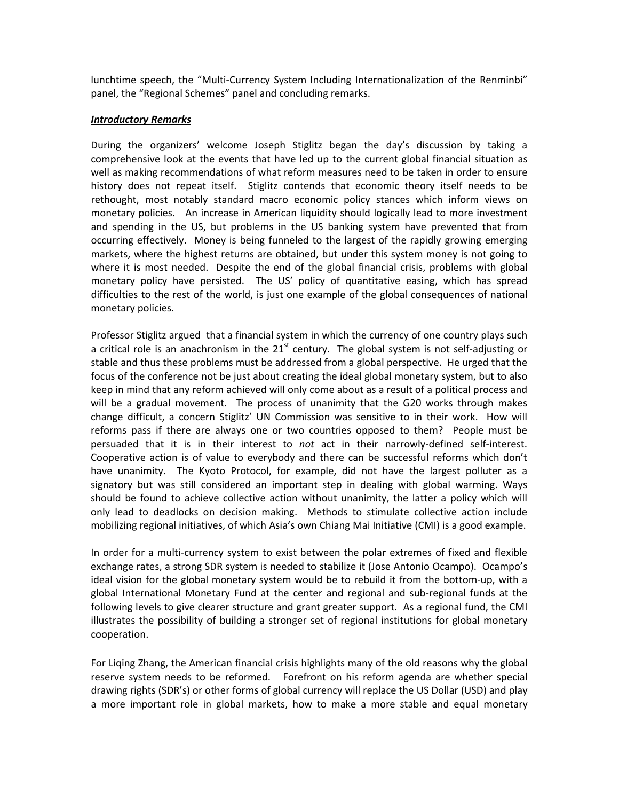lunchtime speech, the "Multi-Currency System Including Internationalization of the Renminbi" panel, the "Regional Schemes" panel and concluding remarks.

## *Introductory Remarks*

During the organizers' welcome Joseph Stiglitz began the day's discussion by taking a comprehensive look at the events that have led up to the current global financial situation as well as making recommendations of what reform measures need to be taken in order to ensure history does not repeat itself. Stiglitz contends that economic theory itself needs to be rethought, most notably standard macro economic policy stances which inform views on monetary policies. An increase in American liquidity should logically lead to more investment and spending in the US, but problems in the US banking system have prevented that from occurring effectively. Money is being funneled to the largest of the rapidly growing emerging markets, where the highest returns are obtained, but under this system money is not going to where it is most needed. Despite the end of the global financial crisis, problems with global monetary policy have persisted. The US' policy of quantitative easing, which has spread difficulties to the rest of the world, is just one example of the global consequences of national monetary policies.

Professor Stiglitz argued that a financial system in which the currency of one country plays such a critical role is an anachronism in the  $21<sup>st</sup>$  century. The global system is not self-adjusting or stable and thus these problems must be addressed from a global perspective. He urged that the focus of the conference not be just about creating the ideal global monetary system, but to also keep in mind that any reform achieved will only come about as a result of a political process and will be a gradual movement. The process of unanimity that the G20 works through makes change difficult, a concern Stiglitz' UN Commission was sensitive to in their work. How will reforms pass if there are always one or two countries opposed to them? People must be persuaded that it is in their interest to *not* act in their narrowly-defined self-interest. Cooperative action is of value to everybody and there can be successful reforms which don't have unanimity. The Kyoto Protocol, for example, did not have the largest polluter as a signatory but was still considered an important step in dealing with global warming. Ways should be found to achieve collective action without unanimity, the latter a policy which will only lead to deadlocks on decision making. Methods to stimulate collective action include mobilizing regional initiatives, of which Asia's own Chiang Mai Initiative (CMI) is a good example.

In order for a multi‐currency system to exist between the polar extremes of fixed and flexible exchange rates, a strong SDR system is needed to stabilize it (Jose Antonio Ocampo). Ocampo's ideal vision for the global monetary system would be to rebuild it from the bottom‐up, with a global International Monetary Fund at the center and regional and sub‐regional funds at the following levels to give clearer structure and grant greater support. As a regional fund, the CMI illustrates the possibility of building a stronger set of regional institutions for global monetary cooperation.

For Liqing Zhang, the American financial crisis highlights many of the old reasons why the global reserve system needs to be reformed. Forefront on his reform agenda are whether special drawing rights (SDR's) or other forms of global currency will replace the US Dollar (USD) and play a more important role in global markets, how to make a more stable and equal monetary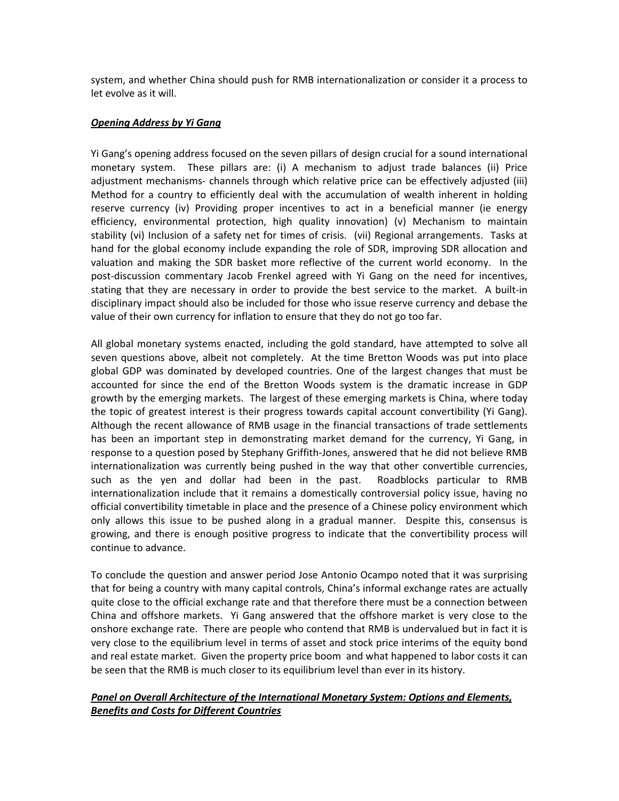system, and whether China should push for RMB internationalization or consider it a process to let evolve as it will.

#### *Opening Address by Yi Gang*

Yi Gang's opening address focused on the seven pillars of design crucial for a sound international monetary system. These pillars are: (i) A mechanism to adjust trade balances (ii) Price adjustment mechanisms‐ channels through which relative price can be effectively adjusted (iii) Method for a country to efficiently deal with the accumulation of wealth inherent in holding reserve currency (iv) Providing proper incentives to act in a beneficial manner (ie energy efficiency, environmental protection, high quality innovation) (v) Mechanism to maintain stability (vi) Inclusion of a safety net for times of crisis. (vii) Regional arrangements. Tasks at hand for the global economy include expanding the role of SDR, improving SDR allocation and valuation and making the SDR basket more reflective of the current world economy. In the post-discussion commentary Jacob Frenkel agreed with Yi Gang on the need for incentives, stating that they are necessary in order to provide the best service to the market. A built‐in disciplinary impact should also be included for those who issue reserve currency and debase the value of their own currency for inflation to ensure that they do not go too far.

All global monetary systems enacted, including the gold standard, have attempted to solve all seven questions above, albeit not completely. At the time Bretton Woods was put into place global GDP was dominated by developed countries. One of the largest changes that must be accounted for since the end of the Bretton Woods system is the dramatic increase in GDP growth by the emerging markets. The largest of these emerging markets is China, where today the topic of greatest interest is their progress towards capital account convertibility (Yi Gang). Although the recent allowance of RMB usage in the financial transactions of trade settlements has been an important step in demonstrating market demand for the currency, Yi Gang, in response to a question posed by Stephany Griffith‐Jones, answered that he did not believe RMB internationalization was currently being pushed in the way that other convertible currencies, such as the yen and dollar had been in the past. Roadblocks particular to RMB internationalization include that it remains a domestically controversial policy issue, having no official convertibility timetable in place and the presence of a Chinese policy environment which only allows this issue to be pushed along in a gradual manner. Despite this, consensus is growing, and there is enough positive progress to indicate that the convertibility process will continue to advance.

To conclude the question and answer period Jose Antonio Ocampo noted that it was surprising that for being a country with many capital controls, China's informal exchange rates are actually quite close to the official exchange rate and that therefore there must be a connection between China and offshore markets. Yi Gang answered that the offshore market is very close to the onshore exchange rate. There are people who contend that RMB is undervalued but in fact it is very close to the equilibrium level in terms of asset and stock price interims of the equity bond and real estate market. Given the property price boom and what happened to labor costs it can be seen that the RMB is much closer to its equilibrium level than ever in its history.

## *Panel on Overall Architecture of the International Monetary System: Options and Elements, Benefits and Costs for Different Countries*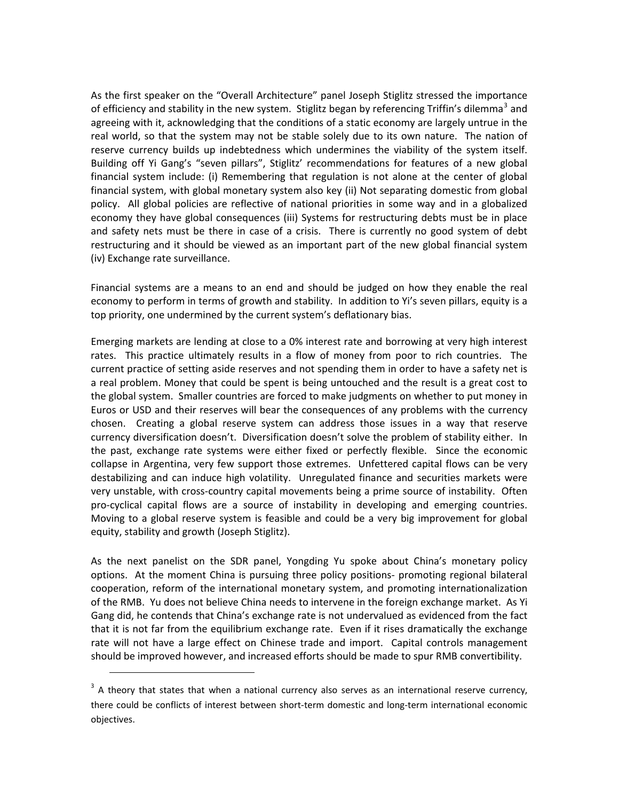As the first speaker on the "Overall Architecture" panel Joseph Stiglitz stressed the importance of efficiency and stability in the new system. Stiglitz began by referencing Triffin's dilemma<sup>[3](#page-3-0)</sup> and agreeing with it, acknowledging that the conditions of a static economy are largely untrue in the real world, so that the system may not be stable solely due to its own nature. The nation of reserve currency builds up indebtedness which undermines the viability of the system itself. Building off Yi Gang's "seven pillars", Stiglitz' recommendations for features of a new global financial system include: (i) Remembering that regulation is not alone at the center of global financial system, with global monetary system also key (ii) Not separating domestic from global policy. All global policies are reflective of national priorities in some way and in a globalized economy they have global consequences (iii) Systems for restructuring debts must be in place and safety nets must be there in case of a crisis. There is currently no good system of debt restructuring and it should be viewed as an important part of the new global financial system (iv) Exchange rate surveillance.

Financial systems are a means to an end and should be judged on how they enable the real economy to perform in terms of growth and stability. In addition to Yi's seven pillars, equity is a top priority, one undermined by the current system's deflationary bias.

Emerging markets are lending at close to a 0% interest rate and borrowing at very high interest rates. This practice ultimately results in a flow of money from poor to rich countries. The current practice of setting aside reserves and not spending them in order to have a safety net is a real problem. Money that could be spent is being untouched and the result is a great cost to the global system. Smaller countries are forced to make judgments on whether to put money in Euros or USD and their reserves will bear the consequences of any problems with the currency chosen. Creating a global reserve system can address those issues in a way that reserve currency diversification doesn't. Diversification doesn't solve the problem of stability either. In the past, exchange rate systems were either fixed or perfectly flexible. Since the economic collapse in Argentina, very few support those extremes. Unfettered capital flows can be very destabilizing and can induce high volatility. Unregulated finance and securities markets were very unstable, with cross‐country capital movements being a prime source of instability. Often pro‐cyclical capital flows are a source of instability in developing and emerging countries. Moving to a global reserve system is feasible and could be a very big improvement for global equity, stability and growth (Joseph Stiglitz).

As the next panelist on the SDR panel, Yongding Yu spoke about China's monetary policy options. At the moment China is pursuing three policy positions‐ promoting regional bilateral cooperation, reform of the international monetary system, and promoting internationalization of the RMB. Yu does not believe China needs to intervene in the foreign exchange market. As Yi Gang did, he contends that China's exchange rate is not undervalued as evidenced from the fact that it is not far from the equilibrium exchange rate. Even if it rises dramatically the exchange rate will not have a large effect on Chinese trade and import. Capital controls management should be improved however, and increased efforts should be made to spur RMB convertibility.

<span id="page-3-0"></span> $3$  A theory that states that when a national currency also serves as an international reserve currency, there could be conflicts of interest between short-term domestic and long-term international economic objectives.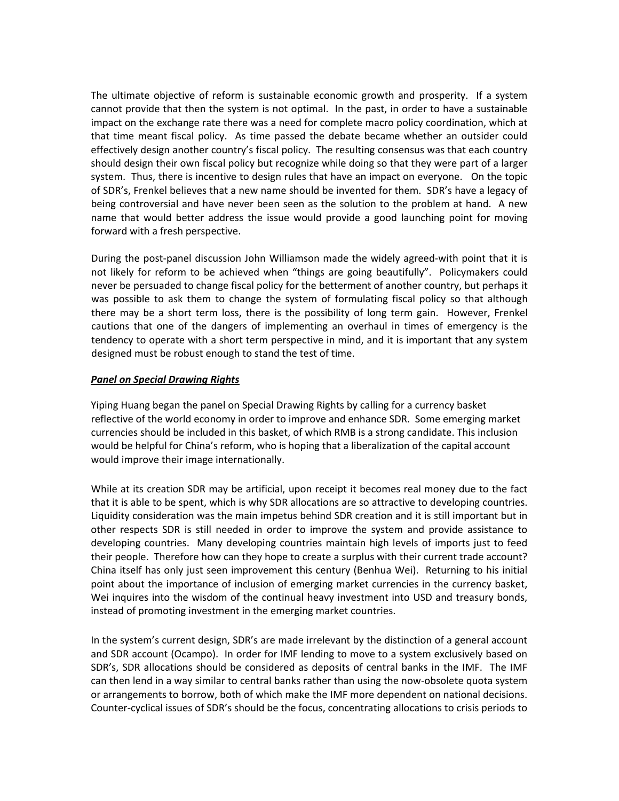The ultimate objective of reform is sustainable economic growth and prosperity. If a system cannot provide that then the system is not optimal. In the past, in order to have a sustainable impact on the exchange rate there was a need for complete macro policy coordination, which at that time meant fiscal policy. As time passed the debate became whether an outsider could effectively design another country's fiscal policy. The resulting consensus was that each country should design their own fiscal policy but recognize while doing so that they were part of a larger system. Thus, there is incentive to design rules that have an impact on everyone. On the topic of SDR's, Frenkel believes that a new name should be invented for them. SDR's have a legacy of being controversial and have never been seen as the solution to the problem at hand. A new name that would better address the issue would provide a good launching point for moving forward with a fresh perspective.

During the post-panel discussion John Williamson made the widely agreed-with point that it is not likely for reform to be achieved when "things are going beautifully". Policymakers could never be persuaded to change fiscal policy for the betterment of another country, but perhaps it was possible to ask them to change the system of formulating fiscal policy so that although there may be a short term loss, there is the possibility of long term gain. However, Frenkel cautions that one of the dangers of implementing an overhaul in times of emergency is the tendency to operate with a short term perspective in mind, and it is important that any system designed must be robust enough to stand the test of time.

#### *Panel on Special Drawing Rights*

Yiping Huang began the panel on Special Drawing Rights by calling for a currency basket reflective of the world economy in order to improve and enhance SDR. Some emerging market currencies should be included in this basket, of which RMB is a strong candidate. This inclusion would be helpful for China's reform, who is hoping that a liberalization of the capital account would improve their image internationally.

While at its creation SDR may be artificial, upon receipt it becomes real money due to the fact that it is able to be spent, which is why SDR allocations are so attractive to developing countries. Liquidity consideration was the main impetus behind SDR creation and it is still important but in other respects SDR is still needed in order to improve the system and provide assistance to developing countries. Many developing countries maintain high levels of imports just to feed their people. Therefore how can they hope to create a surplus with their current trade account? China itself has only just seen improvement this century (Benhua Wei). Returning to his initial point about the importance of inclusion of emerging market currencies in the currency basket, Wei inquires into the wisdom of the continual heavy investment into USD and treasury bonds, instead of promoting investment in the emerging market countries.

In the system's current design, SDR's are made irrelevant by the distinction of a general account and SDR account (Ocampo). In order for IMF lending to move to a system exclusively based on SDR's, SDR allocations should be considered as deposits of central banks in the IMF. The IMF can then lend in a way similar to central banks rather than using the now‐obsolete quota system or arrangements to borrow, both of which make the IMF more dependent on national decisions. Counter‐cyclical issues of SDR's should be the focus, concentrating allocations to crisis periods to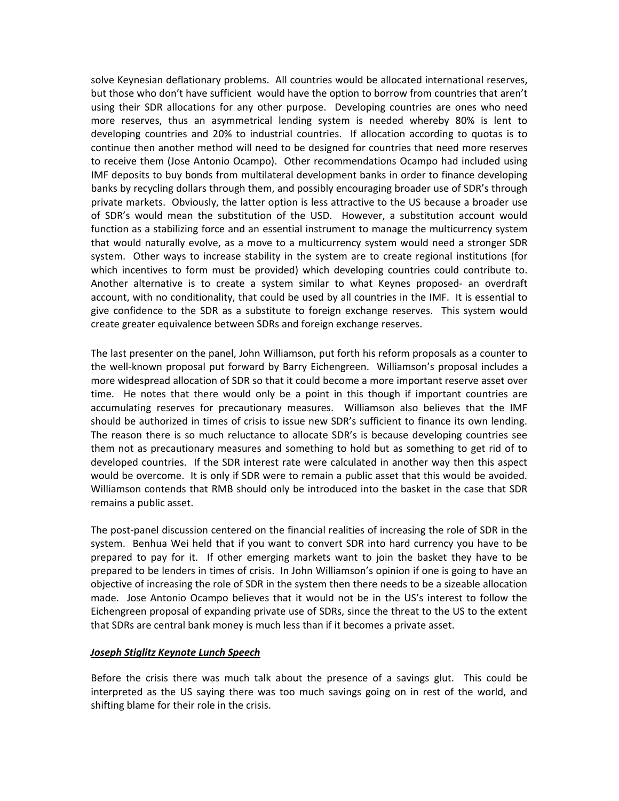solve Keynesian deflationary problems. All countries would be allocated international reserves, but those who don't have sufficient would have the option to borrow from countries that aren't using their SDR allocations for any other purpose. Developing countries are ones who need more reserves, thus an asymmetrical lending system is needed whereby 80% is lent to developing countries and 20% to industrial countries. If allocation according to quotas is to continue then another method will need to be designed for countries that need more reserves to receive them (Jose Antonio Ocampo). Other recommendations Ocampo had included using IMF deposits to buy bonds from multilateral development banks in order to finance developing banks by recycling dollars through them, and possibly encouraging broader use of SDR's through private markets. Obviously, the latter option is less attractive to the US because a broader use of SDR's would mean the substitution of the USD. However, a substitution account would function as a stabilizing force and an essential instrument to manage the multicurrency system that would naturally evolve, as a move to a multicurrency system would need a stronger SDR system. Other ways to increase stability in the system are to create regional institutions (for which incentives to form must be provided) which developing countries could contribute to. Another alternative is to create a system similar to what Keynes proposed‐ an overdraft account, with no conditionality, that could be used by all countries in the IMF. It is essential to give confidence to the SDR as a substitute to foreign exchange reserves. This system would create greater equivalence between SDRs and foreign exchange reserves.

The last presenter on the panel, John Williamson, put forth his reform proposals as a counter to the well‐known proposal put forward by Barry Eichengreen. Williamson's proposal includes a more widespread allocation of SDR so that it could become a more important reserve asset over time. He notes that there would only be a point in this though if important countries are accumulating reserves for precautionary measures. Williamson also believes that the IMF should be authorized in times of crisis to issue new SDR's sufficient to finance its own lending. The reason there is so much reluctance to allocate SDR's is because developing countries see them not as precautionary measures and something to hold but as something to get rid of to developed countries. If the SDR interest rate were calculated in another way then this aspect would be overcome. It is only if SDR were to remain a public asset that this would be avoided. Williamson contends that RMB should only be introduced into the basket in the case that SDR remains a public asset.

The post-panel discussion centered on the financial realities of increasing the role of SDR in the system. Benhua Wei held that if you want to convert SDR into hard currency you have to be prepared to pay for it. If other emerging markets want to join the basket they have to be prepared to be lenders in times of crisis. In John Williamson's opinion if one is going to have an objective of increasing the role of SDR in the system then there needs to be a sizeable allocation made. Jose Antonio Ocampo believes that it would not be in the US's interest to follow the Eichengreen proposal of expanding private use of SDRs, since the threat to the US to the extent that SDRs are central bank money is much less than if it becomes a private asset.

### *Joseph Stiglitz Keynote Lunch Speech*

Before the crisis there was much talk about the presence of a savings glut. This could be interpreted as the US saying there was too much savings going on in rest of the world, and shifting blame for their role in the crisis.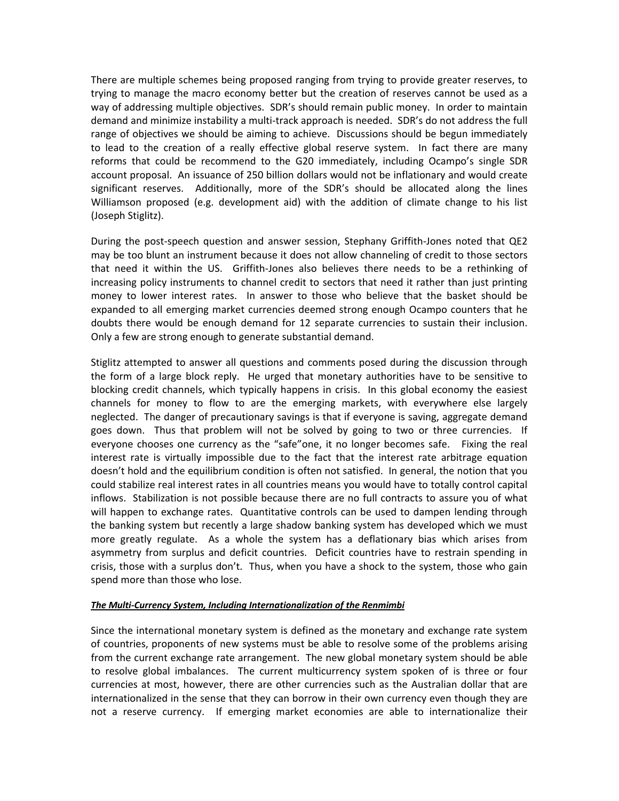There are multiple schemes being proposed ranging from trying to provide greater reserves, to trying to manage the macro economy better but the creation of reserves cannot be used as a way of addressing multiple objectives. SDR's should remain public money. In order to maintain demand and minimize instability a multi‐track approach is needed. SDR's do not address the full range of objectives we should be aiming to achieve. Discussions should be begun immediately to lead to the creation of a really effective global reserve system. In fact there are many reforms that could be recommend to the G20 immediately, including Ocampo's single SDR account proposal. An issuance of 250 billion dollars would not be inflationary and would create significant reserves. Additionally, more of the SDR's should be allocated along the lines Williamson proposed (e.g. development aid) with the addition of climate change to his list (Joseph Stiglitz).

During the post‐speech question and answer session, Stephany Griffith‐Jones noted that QE2 may be too blunt an instrument because it does not allow channeling of credit to those sectors that need it within the US. Griffith‐Jones also believes there needs to be a rethinking of increasing policy instruments to channel credit to sectors that need it rather than just printing money to lower interest rates. In answer to those who believe that the basket should be expanded to all emerging market currencies deemed strong enough Ocampo counters that he doubts there would be enough demand for 12 separate currencies to sustain their inclusion. Only a few are strong enough to generate substantial demand.

Stiglitz attempted to answer all questions and comments posed during the discussion through the form of a large block reply. He urged that monetary authorities have to be sensitive to blocking credit channels, which typically happens in crisis. In this global economy the easiest channels for money to flow to are the emerging markets, with everywhere else largely neglected. The danger of precautionary savings is that if everyone is saving, aggregate demand goes down. Thus that problem will not be solved by going to two or three currencies. If everyone chooses one currency as the "safe"one, it no longer becomes safe. Fixing the real interest rate is virtually impossible due to the fact that the interest rate arbitrage equation doesn't hold and the equilibrium condition is often not satisfied. In general, the notion that you could stabilize real interest rates in all countries means you would have to totally control capital inflows. Stabilization is not possible because there are no full contracts to assure you of what will happen to exchange rates. Quantitative controls can be used to dampen lending through the banking system but recently a large shadow banking system has developed which we must more greatly regulate. As a whole the system has a deflationary bias which arises from asymmetry from surplus and deficit countries. Deficit countries have to restrain spending in crisis, those with a surplus don't. Thus, when you have a shock to the system, those who gain spend more than those who lose.

#### *The Multi‐Currency System, Including Internationalization of the Renmimbi*

Since the international monetary system is defined as the monetary and exchange rate system of countries, proponents of new systems must be able to resolve some of the problems arising from the current exchange rate arrangement. The new global monetary system should be able to resolve global imbalances. The current multicurrency system spoken of is three or four currencies at most, however, there are other currencies such as the Australian dollar that are internationalized in the sense that they can borrow in their own currency even though they are not a reserve currency. If emerging market economies are able to internationalize their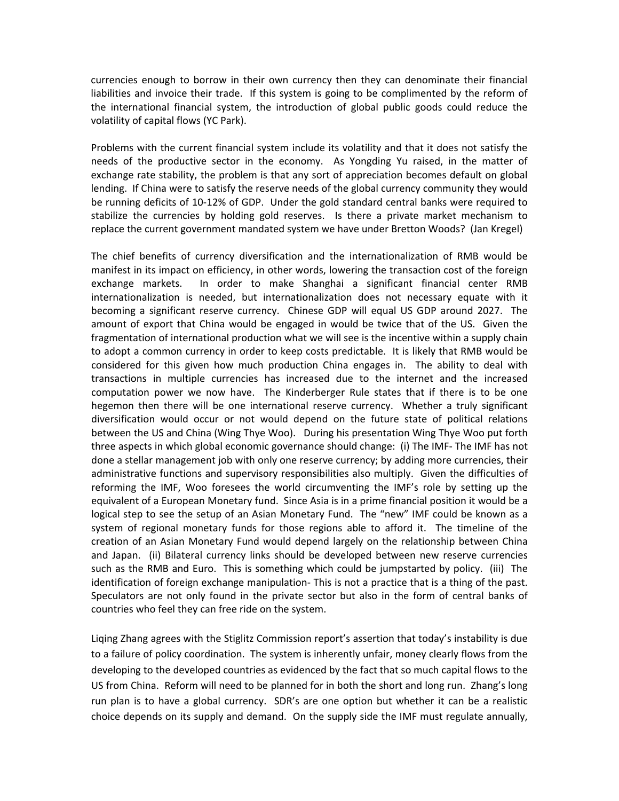currencies enough to borrow in their own currency then they can denominate their financial liabilities and invoice their trade. If this system is going to be complimented by the reform of the international financial system, the introduction of global public goods could reduce the volatility of capital flows (YC Park).

Problems with the current financial system include its volatility and that it does not satisfy the needs of the productive sector in the economy. As Yongding Yu raised, in the matter of exchange rate stability, the problem is that any sort of appreciation becomes default on global lending. If China were to satisfy the reserve needs of the global currency community they would be running deficits of 10‐12% of GDP. Under the gold standard central banks were required to stabilize the currencies by holding gold reserves. Is there a private market mechanism to replace the current government mandated system we have under Bretton Woods? (Jan Kregel)

The chief benefits of currency diversification and the internationalization of RMB would be manifest in its impact on efficiency, in other words, lowering the transaction cost of the foreign exchange markets. In order to make Shanghai a significant financial center RMB internationalization is needed, but internationalization does not necessary equate with it becoming a significant reserve currency. Chinese GDP will equal US GDP around 2027. The amount of export that China would be engaged in would be twice that of the US. Given the fragmentation of international production what we will see is the incentive within a supply chain to adopt a common currency in order to keep costs predictable. It is likely that RMB would be considered for this given how much production China engages in. The ability to deal with transactions in multiple currencies has increased due to the internet and the increased computation power we now have. The Kinderberger Rule states that if there is to be one hegemon then there will be one international reserve currency. Whether a truly significant diversification would occur or not would depend on the future state of political relations between the US and China (Wing Thye Woo). During his presentation Wing Thye Woo put forth three aspects in which global economic governance should change: (i) The IMF‐ The IMF has not done a stellar management job with only one reserve currency; by adding more currencies, their administrative functions and supervisory responsibilities also multiply. Given the difficulties of reforming the IMF, Woo foresees the world circumventing the IMF's role by setting up the equivalent of a European Monetary fund. Since Asia is in a prime financial position it would be a logical step to see the setup of an Asian Monetary Fund. The "new" IMF could be known as a system of regional monetary funds for those regions able to afford it. The timeline of the creation of an Asian Monetary Fund would depend largely on the relationship between China and Japan. (ii) Bilateral currency links should be developed between new reserve currencies such as the RMB and Euro. This is something which could be jumpstarted by policy. (iii) The identification of foreign exchange manipulation‐ This is not a practice that is a thing of the past. Speculators are not only found in the private sector but also in the form of central banks of countries who feel they can free ride on the system.

Liqing Zhang agrees with the Stiglitz Commission report's assertion that today's instability is due to a failure of policy coordination. The system is inherently unfair, money clearly flows from the developing to the developed countries as evidenced by the fact that so much capital flows to the US from China. Reform will need to be planned for in both the short and long run. Zhang's long run plan is to have a global currency. SDR's are one option but whether it can be a realistic choice depends on its supply and demand. On the supply side the IMF must regulate annually,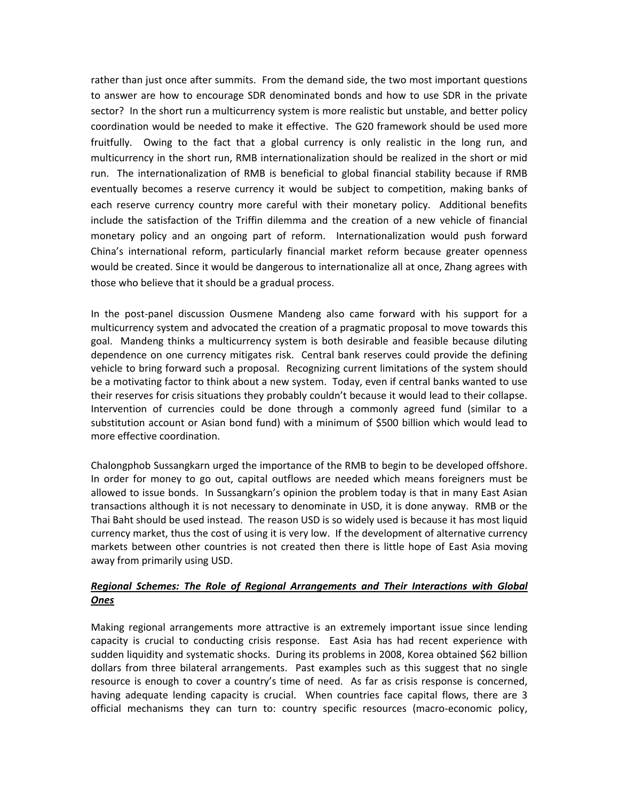rather than just once after summits. From the demand side, the two most important questions to answer are how to encourage SDR denominated bonds and how to use SDR in the private sector? In the short run a multicurrency system is more realistic but unstable, and better policy coordination would be needed to make it effective. The G20 framework should be used more fruitfully. Owing to the fact that a global currency is only realistic in the long run, and multicurrency in the short run, RMB internationalization should be realized in the short or mid run. The internationalization of RMB is beneficial to global financial stability because if RMB eventually becomes a reserve currency it would be subject to competition, making banks of each reserve currency country more careful with their monetary policy. Additional benefits include the satisfaction of the Triffin dilemma and the creation of a new vehicle of financial monetary policy and an ongoing part of reform. Internationalization would push forward China's international reform, particularly financial market reform because greater openness would be created. Since it would be dangerous to internationalize all at once, Zhang agrees with those who believe that it should be a gradual process.

In the post‐panel discussion Ousmene Mandeng also came forward with his support for a multicurrency system and advocated the creation of a pragmatic proposal to move towards this goal. Mandeng thinks a multicurrency system is both desirable and feasible because diluting dependence on one currency mitigates risk. Central bank reserves could provide the defining vehicle to bring forward such a proposal. Recognizing current limitations of the system should be a motivating factor to think about a new system. Today, even if central banks wanted to use their reserves for crisis situations they probably couldn't because it would lead to their collapse. Intervention of currencies could be done through a commonly agreed fund (similar to a substitution account or Asian bond fund) with a minimum of \$500 billion which would lead to more effective coordination.

Chalongphob Sussangkarn urged the importance of the RMB to begin to be developed offshore. In order for money to go out, capital outflows are needed which means foreigners must be allowed to issue bonds. In Sussangkarn's opinion the problem today is that in many East Asian transactions although it is not necessary to denominate in USD, it is done anyway. RMB or the Thai Baht should be used instead. The reason USD is so widely used is because it has most liquid currency market, thus the cost of using it is very low. If the development of alternative currency markets between other countries is not created then there is little hope of East Asia moving away from primarily using USD.

# *Regional Schemes: The Role of Regional Arrangements and Their Interactions with Global Ones*

Making regional arrangements more attractive is an extremely important issue since lending capacity is crucial to conducting crisis response. East Asia has had recent experience with sudden liquidity and systematic shocks. During its problems in 2008, Korea obtained \$62 billion dollars from three bilateral arrangements. Past examples such as this suggest that no single resource is enough to cover a country's time of need. As far as crisis response is concerned, having adequate lending capacity is crucial. When countries face capital flows, there are 3 official mechanisms they can turn to: country specific resources (macro‐economic policy,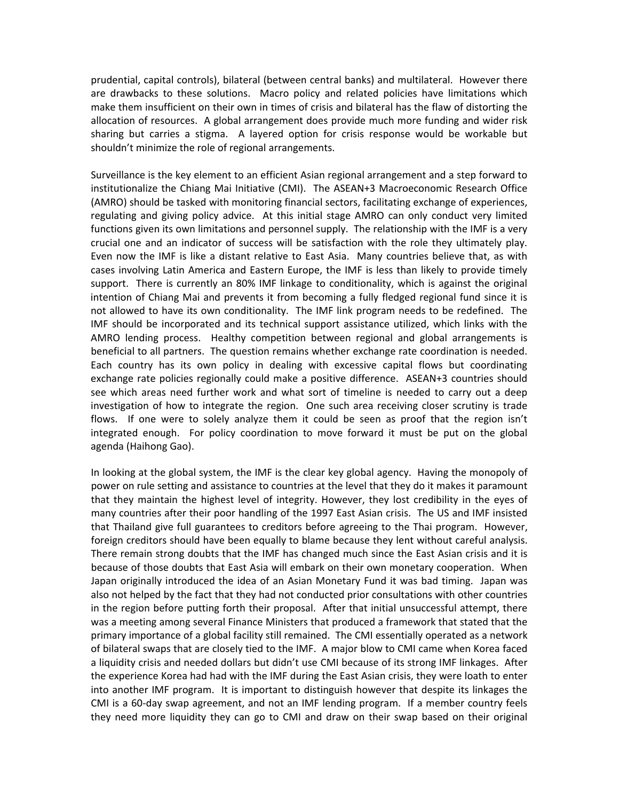prudential, capital controls), bilateral (between central banks) and multilateral. However there are drawbacks to these solutions. Macro policy and related policies have limitations which make them insufficient on their own in times of crisis and bilateral has the flaw of distorting the allocation of resources. A global arrangement does provide much more funding and wider risk sharing but carries a stigma. A layered option for crisis response would be workable but shouldn't minimize the role of regional arrangements.

Surveillance is the key element to an efficient Asian regional arrangement and a step forward to institutionalize the Chiang Mai Initiative (CMI). The ASEAN+3 Macroeconomic Research Office (AMRO) should be tasked with monitoring financial sectors, facilitating exchange of experiences, regulating and giving policy advice. At this initial stage AMRO can only conduct very limited functions given its own limitations and personnel supply. The relationship with the IMF is a very crucial one and an indicator of success will be satisfaction with the role they ultimately play. Even now the IMF is like a distant relative to East Asia. Many countries believe that, as with cases involving Latin America and Eastern Europe, the IMF is less than likely to provide timely support. There is currently an 80% IMF linkage to conditionality, which is against the original intention of Chiang Mai and prevents it from becoming a fully fledged regional fund since it is not allowed to have its own conditionality. The IMF link program needs to be redefined. The IMF should be incorporated and its technical support assistance utilized, which links with the AMRO lending process. Healthy competition between regional and global arrangements is beneficial to all partners. The question remains whether exchange rate coordination is needed. Each country has its own policy in dealing with excessive capital flows but coordinating exchange rate policies regionally could make a positive difference. ASEAN+3 countries should see which areas need further work and what sort of timeline is needed to carry out a deep investigation of how to integrate the region. One such area receiving closer scrutiny is trade flows. If one were to solely analyze them it could be seen as proof that the region isn't integrated enough. For policy coordination to move forward it must be put on the global agenda (Haihong Gao).

In looking at the global system, the IMF is the clear key global agency. Having the monopoly of power on rule setting and assistance to countries at the level that they do it makes it paramount that they maintain the highest level of integrity. However, they lost credibility in the eyes of many countries after their poor handling of the 1997 East Asian crisis. The US and IMF insisted that Thailand give full guarantees to creditors before agreeing to the Thai program. However, foreign creditors should have been equally to blame because they lent without careful analysis. There remain strong doubts that the IMF has changed much since the East Asian crisis and it is because of those doubts that East Asia will embark on their own monetary cooperation. When Japan originally introduced the idea of an Asian Monetary Fund it was bad timing. Japan was also not helped by the fact that they had not conducted prior consultations with other countries in the region before putting forth their proposal. After that initial unsuccessful attempt, there was a meeting among several Finance Ministers that produced a framework that stated that the primary importance of a global facility still remained. The CMI essentially operated as a network of bilateral swaps that are closely tied to the IMF. A major blow to CMI came when Korea faced a liquidity crisis and needed dollars but didn't use CMI because of its strong IMF linkages. After the experience Korea had had with the IMF during the East Asian crisis, they were loath to enter into another IMF program. It is important to distinguish however that despite its linkages the CMI is a 60‐day swap agreement, and not an IMF lending program. If a member country feels they need more liquidity they can go to CMI and draw on their swap based on their original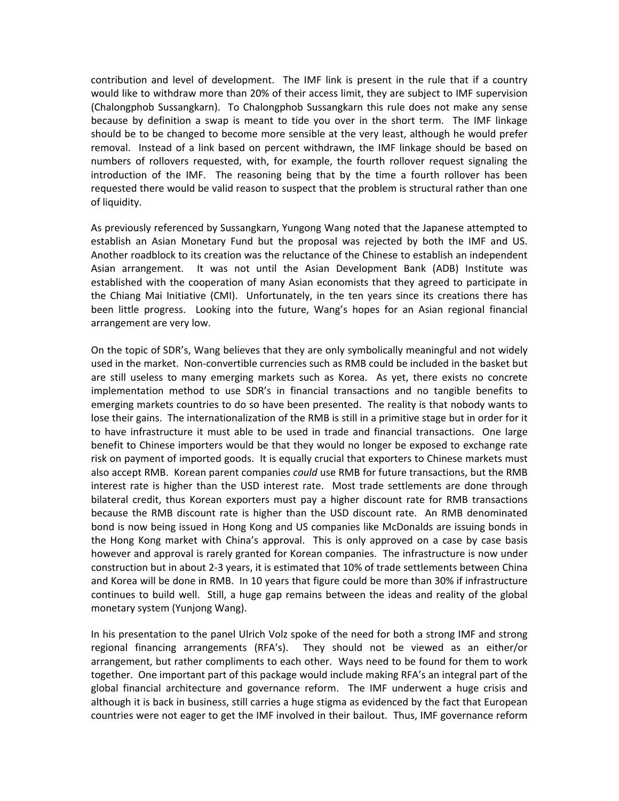contribution and level of development. The IMF link is present in the rule that if a country would like to withdraw more than 20% of their access limit, they are subject to IMF supervision (Chalongphob Sussangkarn). To Chalongphob Sussangkarn this rule does not make any sense because by definition a swap is meant to tide you over in the short term. The IMF linkage should be to be changed to become more sensible at the very least, although he would prefer removal. Instead of a link based on percent withdrawn, the IMF linkage should be based on numbers of rollovers requested, with, for example, the fourth rollover request signaling the introduction of the IMF. The reasoning being that by the time a fourth rollover has been requested there would be valid reason to suspect that the problem is structural rather than one of liquidity.

As previously referenced by Sussangkarn, Yungong Wang noted that the Japanese attempted to establish an Asian Monetary Fund but the proposal was rejected by both the IMF and US. Another roadblock to its creation was the reluctance of the Chinese to establish an independent Asian arrangement. It was not until the Asian Development Bank (ADB) Institute was established with the cooperation of many Asian economists that they agreed to participate in the Chiang Mai Initiative (CMI). Unfortunately, in the ten years since its creations there has been little progress. Looking into the future, Wang's hopes for an Asian regional financial arrangement are very low.

On the topic of SDR's, Wang believes that they are only symbolically meaningful and not widely used in the market. Non‐convertible currencies such as RMB could be included in the basket but are still useless to many emerging markets such as Korea. As yet, there exists no concrete implementation method to use SDR's in financial transactions and no tangible benefits to emerging markets countries to do so have been presented. The reality is that nobody wants to lose their gains. The internationalization of the RMB is still in a primitive stage but in order for it to have infrastructure it must able to be used in trade and financial transactions. One large benefit to Chinese importers would be that they would no longer be exposed to exchange rate risk on payment of imported goods. It is equally crucial that exporters to Chinese markets must also accept RMB. Korean parent companies *could* use RMB for future transactions, but the RMB interest rate is higher than the USD interest rate. Most trade settlements are done through bilateral credit, thus Korean exporters must pay a higher discount rate for RMB transactions because the RMB discount rate is higher than the USD discount rate. An RMB denominated bond is now being issued in Hong Kong and US companies like McDonalds are issuing bonds in the Hong Kong market with China's approval. This is only approved on a case by case basis however and approval is rarely granted for Korean companies. The infrastructure is now under construction but in about 2‐3 years, it is estimated that 10% of trade settlements between China and Korea will be done in RMB. In 10 years that figure could be more than 30% if infrastructure continues to build well. Still, a huge gap remains between the ideas and reality of the global monetary system (Yunjong Wang).

In his presentation to the panel Ulrich Volz spoke of the need for both a strong IMF and strong regional financing arrangements (RFA's). They should not be viewed as an either/or arrangement, but rather compliments to each other. Ways need to be found for them to work together. One important part of this package would include making RFA's an integral part of the global financial architecture and governance reform. The IMF underwent a huge crisis and although it is back in business, still carries a huge stigma as evidenced by the fact that European countries were not eager to get the IMF involved in their bailout. Thus, IMF governance reform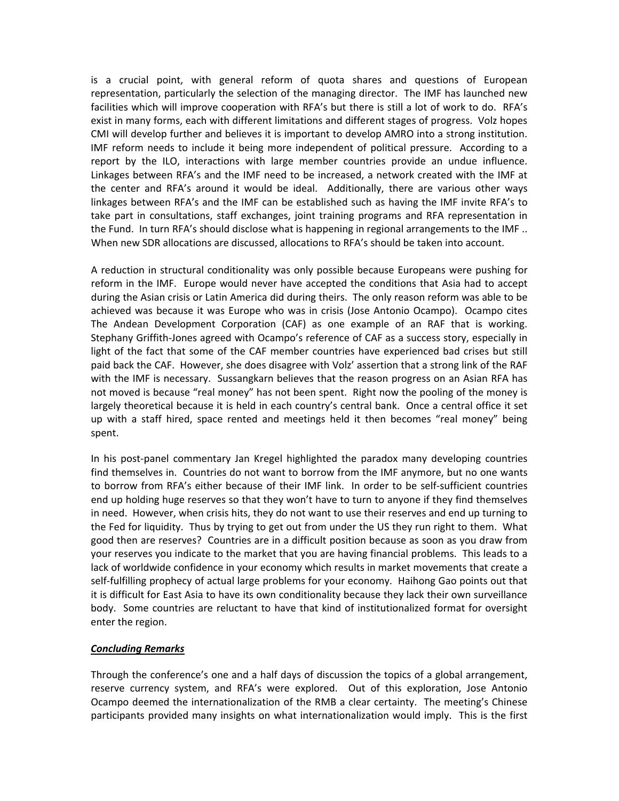is a crucial point, with general reform of quota shares and questions of European representation, particularly the selection of the managing director. The IMF has launched new facilities which will improve cooperation with RFA's but there is still a lot of work to do. RFA's exist in many forms, each with different limitations and different stages of progress. Volz hopes CMI will develop further and believes it is important to develop AMRO into a strong institution. IMF reform needs to include it being more independent of political pressure. According to a report by the ILO, interactions with large member countries provide an undue influence. Linkages between RFA's and the IMF need to be increased, a network created with the IMF at the center and RFA's around it would be ideal. Additionally, there are various other ways linkages between RFA's and the IMF can be established such as having the IMF invite RFA's to take part in consultations, staff exchanges, joint training programs and RFA representation in the Fund. In turn RFA's should disclose what is happening in regional arrangements to the IMF .. When new SDR allocations are discussed, allocations to RFA's should be taken into account.

A reduction in structural conditionality was only possible because Europeans were pushing for reform in the IMF. Europe would never have accepted the conditions that Asia had to accept during the Asian crisis or Latin America did during theirs. The only reason reform was able to be achieved was because it was Europe who was in crisis (Jose Antonio Ocampo). Ocampo cites The Andean Development Corporation (CAF) as one example of an RAF that is working. Stephany Griffith‐Jones agreed with Ocampo's reference of CAF as a success story, especially in light of the fact that some of the CAF member countries have experienced bad crises but still paid back the CAF. However, she does disagree with Volz' assertion that a strong link of the RAF with the IMF is necessary. Sussangkarn believes that the reason progress on an Asian RFA has not moved is because "real money" has not been spent. Right now the pooling of the money is largely theoretical because it is held in each country's central bank. Once a central office it set up with a staff hired, space rented and meetings held it then becomes "real money" being spent.

In his post‐panel commentary Jan Kregel highlighted the paradox many developing countries find themselves in. Countries do not want to borrow from the IMF anymore, but no one wants to borrow from RFA's either because of their IMF link. In order to be self‐sufficient countries end up holding huge reserves so that they won't have to turn to anyone if they find themselves in need. However, when crisis hits, they do not want to use their reserves and end up turning to the Fed for liquidity. Thus by trying to get out from under the US they run right to them. What good then are reserves? Countries are in a difficult position because as soon as you draw from your reserves you indicate to the market that you are having financial problems. This leads to a lack of worldwide confidence in your economy which results in market movements that create a self‐fulfilling prophecy of actual large problems for your economy. Haihong Gao points out that it is difficult for East Asia to have its own conditionality because they lack their own surveillance body. Some countries are reluctant to have that kind of institutionalized format for oversight enter the region.

### *Concluding Remarks*

Through the conference's one and a half days of discussion the topics of a global arrangement, reserve currency system, and RFA's were explored. Out of this exploration, Jose Antonio Ocampo deemed the internationalization of the RMB a clear certainty. The meeting's Chinese participants provided many insights on what internationalization would imply. This is the first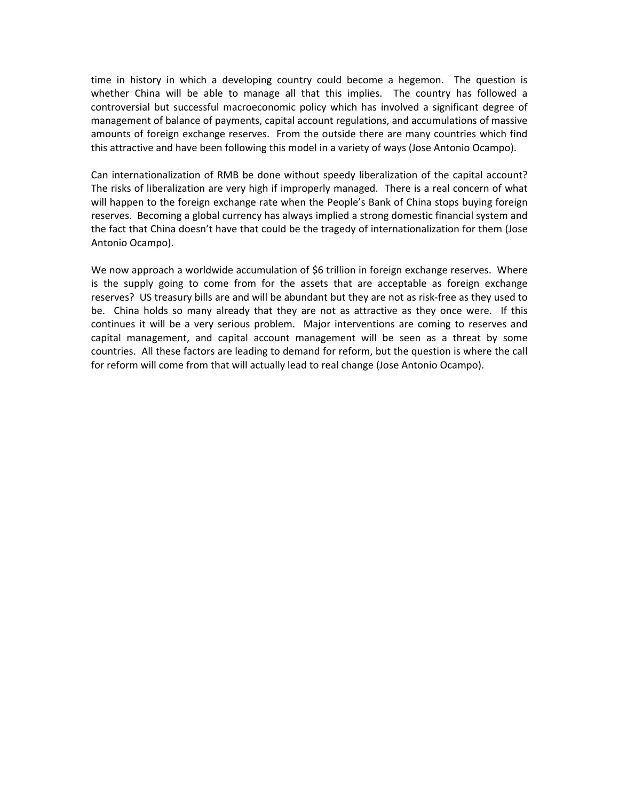time in history in which a developing country could become a hegemon. The question is whether China will be able to manage all that this implies. The country has followed a controversial but successful macroeconomic policy which has involved a significant degree of management of balance of payments, capital account regulations, and accumulations of massive amounts of foreign exchange reserves. From the outside there are many countries which find this attractive and have been following this model in a variety of ways (Jose Antonio Ocampo).

Can internationalization of RMB be done without speedy liberalization of the capital account? The risks of liberalization are very high if improperly managed. There is a real concern of what will happen to the foreign exchange rate when the People's Bank of China stops buying foreign reserves. Becoming a global currency has always implied a strong domestic financial system and the fact that China doesn't have that could be the tragedy of internationalization for them (Jose Antonio Ocampo).

We now approach a worldwide accumulation of \$6 trillion in foreign exchange reserves. Where is the supply going to come from for the assets that are acceptable as foreign exchange reserves? US treasury bills are and will be abundant but they are not as risk‐free as they used to be. China holds so many already that they are not as attractive as they once were. If this continues it will be a very serious problem. Major interventions are coming to reserves and capital management, and capital account management will be seen as a threat by some countries. All these factors are leading to demand for reform, but the question is where the call for reform will come from that will actually lead to real change (Jose Antonio Ocampo).